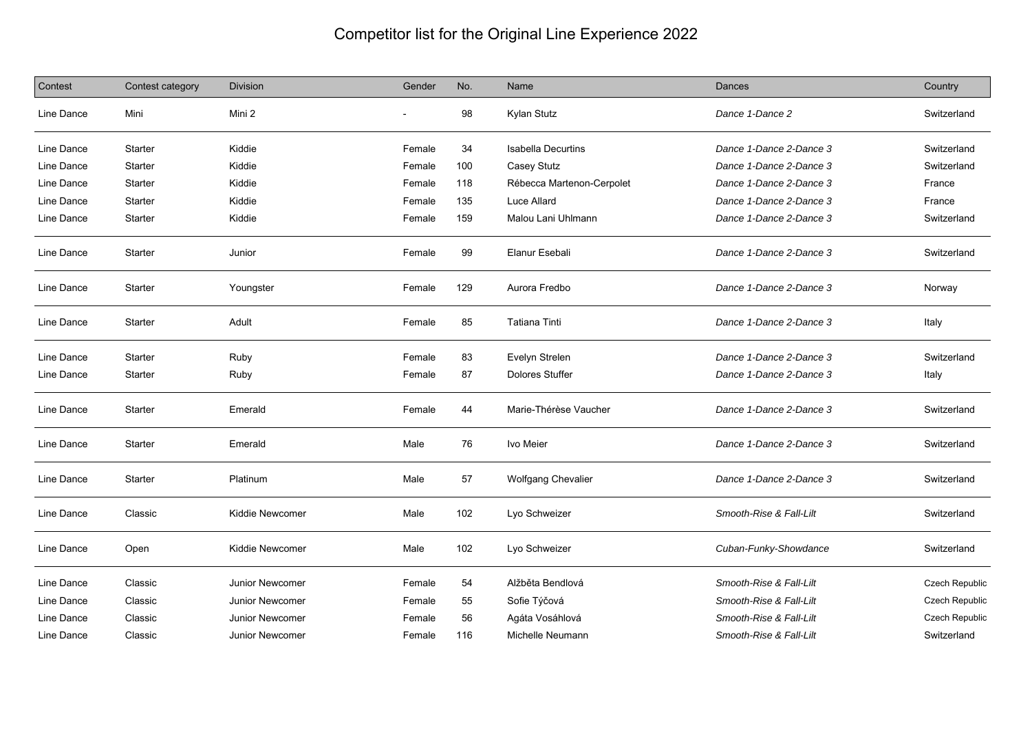## Competitor list for the Original Line Experience 2022

| Contest    | Contest category | <b>Division</b>        | Gender | No. | Name                      | Dances                  | Country        |
|------------|------------------|------------------------|--------|-----|---------------------------|-------------------------|----------------|
| Line Dance | Mini             | Mini 2                 |        | 98  | Kylan Stutz               | Dance 1-Dance 2         | Switzerland    |
| Line Dance | <b>Starter</b>   | Kiddie                 | Female | 34  | <b>Isabella Decurtins</b> | Dance 1-Dance 2-Dance 3 | Switzerland    |
| Line Dance | Starter          | Kiddie                 | Female | 100 | Casey Stutz               | Dance 1-Dance 2-Dance 3 | Switzerland    |
| Line Dance | Starter          | Kiddie                 | Female | 118 | Rébecca Martenon-Cerpolet | Dance 1-Dance 2-Dance 3 | France         |
| Line Dance | <b>Starter</b>   | Kiddie                 | Female | 135 | Luce Allard               | Dance 1-Dance 2-Dance 3 | France         |
| Line Dance | Starter          | Kiddie                 | Female | 159 | Malou Lani Uhlmann        | Dance 1-Dance 2-Dance 3 | Switzerland    |
| Line Dance | <b>Starter</b>   | Junior                 | Female | 99  | Elanur Esebali            | Dance 1-Dance 2-Dance 3 | Switzerland    |
| Line Dance | Starter          | Youngster              | Female | 129 | Aurora Fredbo             | Dance 1-Dance 2-Dance 3 | Norway         |
| Line Dance | Starter          | Adult                  | Female | 85  | <b>Tatiana Tinti</b>      | Dance 1-Dance 2-Dance 3 | Italy          |
| Line Dance | Starter          | Ruby                   | Female | 83  | Evelyn Strelen            | Dance 1-Dance 2-Dance 3 | Switzerland    |
| Line Dance | Starter          | Ruby                   | Female | 87  | <b>Dolores Stuffer</b>    | Dance 1-Dance 2-Dance 3 | Italy          |
| Line Dance | Starter          | Emerald                | Female | 44  | Marie-Thérèse Vaucher     | Dance 1-Dance 2-Dance 3 | Switzerland    |
| Line Dance | <b>Starter</b>   | Emerald                | Male   | 76  | Ivo Meier                 | Dance 1-Dance 2-Dance 3 | Switzerland    |
| Line Dance | Starter          | Platinum               | Male   | 57  | Wolfgang Chevalier        | Dance 1-Dance 2-Dance 3 | Switzerland    |
| Line Dance | Classic          | Kiddie Newcomer        | Male   | 102 | Lyo Schweizer             | Smooth-Rise & Fall-Lilt | Switzerland    |
| Line Dance | Open             | Kiddie Newcomer        | Male   | 102 | Lyo Schweizer             | Cuban-Funky-Showdance   | Switzerland    |
| Line Dance | Classic          | Junior Newcomer        | Female | 54  | Alžběta Bendlová          | Smooth-Rise & Fall-Lilt | Czech Republic |
| Line Dance | Classic          | Junior Newcomer        | Female | 55  | Sofie Týčová              | Smooth-Rise & Fall-Lilt | Czech Republic |
| Line Dance | Classic          | <b>Junior Newcomer</b> | Female | 56  | Agáta Vosáhlová           | Smooth-Rise & Fall-Lilt | Czech Republic |
| Line Dance | Classic          | <b>Junior Newcomer</b> | Female | 116 | Michelle Neumann          | Smooth-Rise & Fall-Lilt | Switzerland    |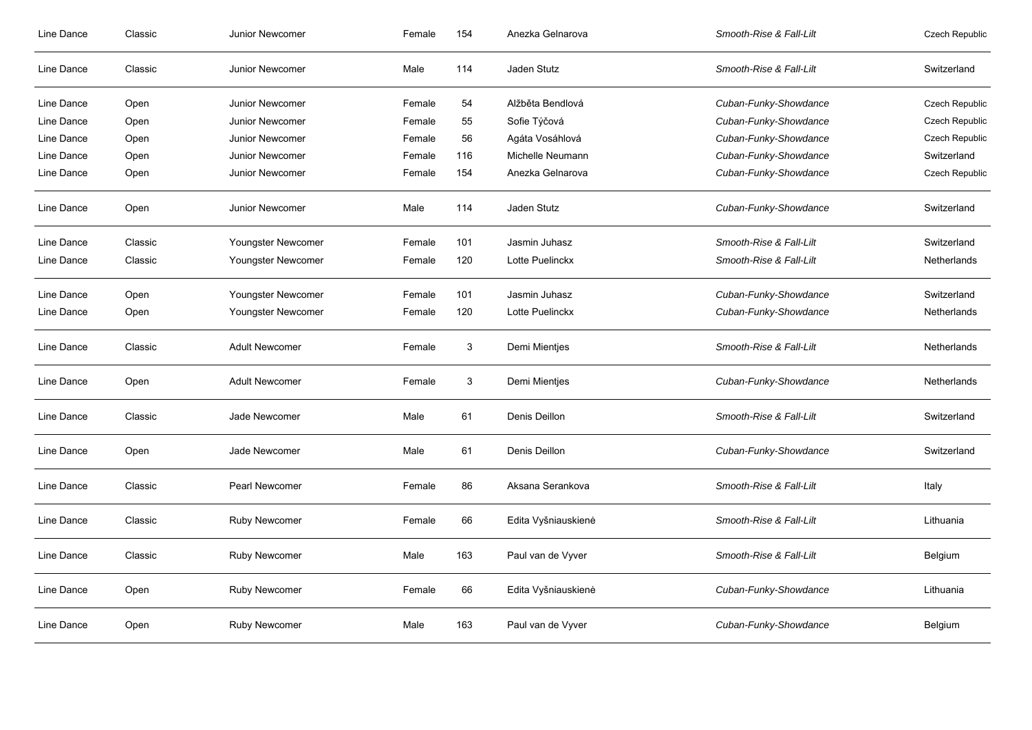| Line Dance | Classic | Junior Newcomer       | Female | 154 | Anezka Gelnarova    | Smooth-Rise & Fall-Lilt | <b>Czech Republic</b> |
|------------|---------|-----------------------|--------|-----|---------------------|-------------------------|-----------------------|
| Line Dance | Classic | Junior Newcomer       | Male   | 114 | Jaden Stutz         | Smooth-Rise & Fall-Lilt | Switzerland           |
| Line Dance | Open    | Junior Newcomer       | Female | 54  | Alžběta Bendlová    | Cuban-Funky-Showdance   | Czech Republic        |
| Line Dance | Open    | Junior Newcomer       | Female | 55  | Sofie Týčová        | Cuban-Funky-Showdance   | Czech Republic        |
| Line Dance | Open    | Junior Newcomer       | Female | 56  | Agáta Vosáhlová     | Cuban-Funky-Showdance   | Czech Republic        |
| Line Dance | Open    | Junior Newcomer       | Female | 116 | Michelle Neumann    | Cuban-Funky-Showdance   | Switzerland           |
| Line Dance | Open    | Junior Newcomer       | Female | 154 | Anezka Gelnarova    | Cuban-Funky-Showdance   | Czech Republic        |
| Line Dance | Open    | Junior Newcomer       | Male   | 114 | Jaden Stutz         | Cuban-Funky-Showdance   | Switzerland           |
| Line Dance | Classic | Youngster Newcomer    | Female | 101 | Jasmin Juhasz       | Smooth-Rise & Fall-Lilt | Switzerland           |
| Line Dance | Classic | Youngster Newcomer    | Female | 120 | Lotte Puelinckx     | Smooth-Rise & Fall-Lilt | Netherlands           |
| Line Dance | Open    | Youngster Newcomer    | Female | 101 | Jasmin Juhasz       | Cuban-Funky-Showdance   | Switzerland           |
| Line Dance | Open    | Youngster Newcomer    | Female | 120 | Lotte Puelinckx     | Cuban-Funky-Showdance   | Netherlands           |
| Line Dance | Classic | <b>Adult Newcomer</b> | Female | 3   | Demi Mientjes       | Smooth-Rise & Fall-Lilt | Netherlands           |
| Line Dance | Open    | <b>Adult Newcomer</b> | Female | 3   | Demi Mientjes       | Cuban-Funky-Showdance   | Netherlands           |
| Line Dance | Classic | Jade Newcomer         | Male   | 61  | Denis Deillon       | Smooth-Rise & Fall-Lilt | Switzerland           |
| Line Dance | Open    | Jade Newcomer         | Male   | 61  | Denis Deillon       | Cuban-Funky-Showdance   | Switzerland           |
| Line Dance | Classic | Pearl Newcomer        | Female | 86  | Aksana Serankova    | Smooth-Rise & Fall-Lilt | Italy                 |
| Line Dance | Classic | <b>Ruby Newcomer</b>  | Female | 66  | Edita Vyšniauskienė | Smooth-Rise & Fall-Lilt | Lithuania             |
| Line Dance | Classic | <b>Ruby Newcomer</b>  | Male   | 163 | Paul van de Vyver   | Smooth-Rise & Fall-Lilt | Belgium               |
| Line Dance | Open    | <b>Ruby Newcomer</b>  | Female | 66  | Edita Vyšniauskienė | Cuban-Funky-Showdance   | Lithuania             |
| Line Dance | Open    | <b>Ruby Newcomer</b>  | Male   | 163 | Paul van de Vyver   | Cuban-Funky-Showdance   | Belgium               |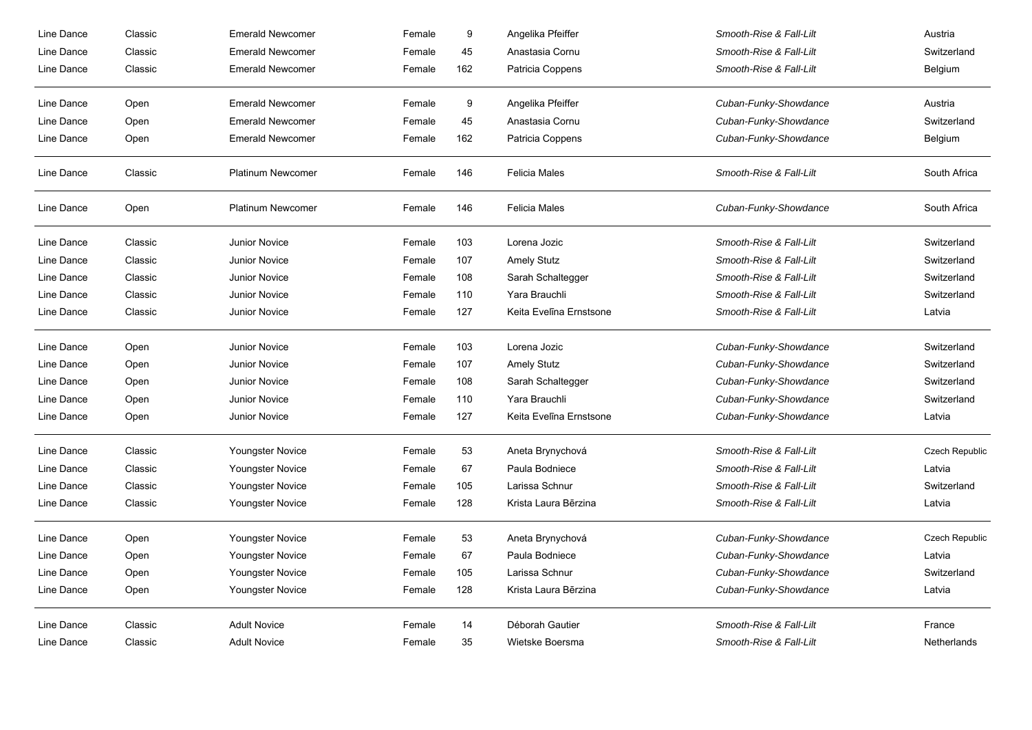| Line Dance | Classic | <b>Emerald Newcomer</b>  | Female | $\boldsymbol{9}$ | Angelika Pfeiffer       | Smooth-Rise & Fall-Lilt | Austria            |
|------------|---------|--------------------------|--------|------------------|-------------------------|-------------------------|--------------------|
| Line Dance | Classic | <b>Emerald Newcomer</b>  | Female | 45               | Anastasia Cornu         | Smooth-Rise & Fall-Lilt | Switzerland        |
| Line Dance | Classic | <b>Emerald Newcomer</b>  | Female | 162              | Patricia Coppens        | Smooth-Rise & Fall-Lilt | Belgium            |
| Line Dance | Open    | <b>Emerald Newcomer</b>  | Female | 9                | Angelika Pfeiffer       | Cuban-Funky-Showdance   | Austria            |
| Line Dance | Open    | <b>Emerald Newcomer</b>  | Female | 45               | Anastasia Cornu         | Cuban-Funky-Showdance   | Switzerland        |
| Line Dance | Open    | <b>Emerald Newcomer</b>  | Female | 162              | Patricia Coppens        | Cuban-Funky-Showdance   | Belgium            |
| Line Dance | Classic | Platinum Newcomer        | Female | 146              | <b>Felicia Males</b>    | Smooth-Rise & Fall-Lilt | South Africa       |
| Line Dance | Open    | <b>Platinum Newcomer</b> | Female | 146              | <b>Felicia Males</b>    | Cuban-Funky-Showdance   | South Africa       |
| Line Dance | Classic | <b>Junior Novice</b>     | Female | 103              | Lorena Jozic            | Smooth-Rise & Fall-Lilt | Switzerland        |
| Line Dance | Classic | <b>Junior Novice</b>     | Female | 107              | <b>Amely Stutz</b>      | Smooth-Rise & Fall-Lilt | Switzerland        |
| Line Dance | Classic | <b>Junior Novice</b>     | Female | 108              | Sarah Schaltegger       | Smooth-Rise & Fall-Lilt | Switzerland        |
| Line Dance | Classic | <b>Junior Novice</b>     | Female | 110              | Yara Brauchli           | Smooth-Rise & Fall-Lilt | Switzerland        |
| Line Dance | Classic | <b>Junior Novice</b>     | Female | 127              | Keita Evelīna Ernstsone | Smooth-Rise & Fall-Lilt | Latvia             |
| Line Dance | Open    | <b>Junior Novice</b>     | Female | 103              | Lorena Jozic            | Cuban-Funky-Showdance   | Switzerland        |
| Line Dance | Open    | <b>Junior Novice</b>     | Female | 107              | <b>Amely Stutz</b>      | Cuban-Funky-Showdance   | Switzerland        |
| Line Dance | Open    | Junior Novice            | Female | 108              | Sarah Schaltegger       | Cuban-Funky-Showdance   | Switzerland        |
| Line Dance | Open    | <b>Junior Novice</b>     | Female | 110              | Yara Brauchli           | Cuban-Funky-Showdance   | Switzerland        |
| Line Dance | Open    | <b>Junior Novice</b>     | Female | 127              | Keita Evelīna Ernstsone | Cuban-Funky-Showdance   | Latvia             |
| Line Dance | Classic | Youngster Novice         | Female | 53               | Aneta Brynychová        | Smooth-Rise & Fall-Lilt | Czech Republic     |
| Line Dance | Classic | Youngster Novice         | Female | 67               | Paula Bodniece          | Smooth-Rise & Fall-Lilt | Latvia             |
| Line Dance | Classic | Youngster Novice         | Female | 105              | Larissa Schnur          | Smooth-Rise & Fall-Lilt | Switzerland        |
| Line Dance | Classic | Youngster Novice         | Female | 128              | Krista Laura Bērzina    | Smooth-Rise & Fall-Lilt | Latvia             |
| Line Dance | Open    | Youngster Novice         | Female | 53               | Aneta Brynychová        | Cuban-Funky-Showdance   | Czech Republic     |
| Line Dance | Open    | Youngster Novice         | Female | 67               | Paula Bodniece          | Cuban-Funky-Showdance   | Latvia             |
| Line Dance | Open    | Youngster Novice         | Female | 105              | Larissa Schnur          | Cuban-Funky-Showdance   | Switzerland        |
| Line Dance | Open    | Youngster Novice         | Female | 128              | Krista Laura Bērzina    | Cuban-Funky-Showdance   | Latvia             |
| Line Dance | Classic | <b>Adult Novice</b>      | Female | 14               | Déborah Gautier         | Smooth-Rise & Fall-Lilt | France             |
| Line Dance | Classic | <b>Adult Novice</b>      | Female | 35               | Wietske Boersma         | Smooth-Rise & Fall-Lilt | <b>Netherlands</b> |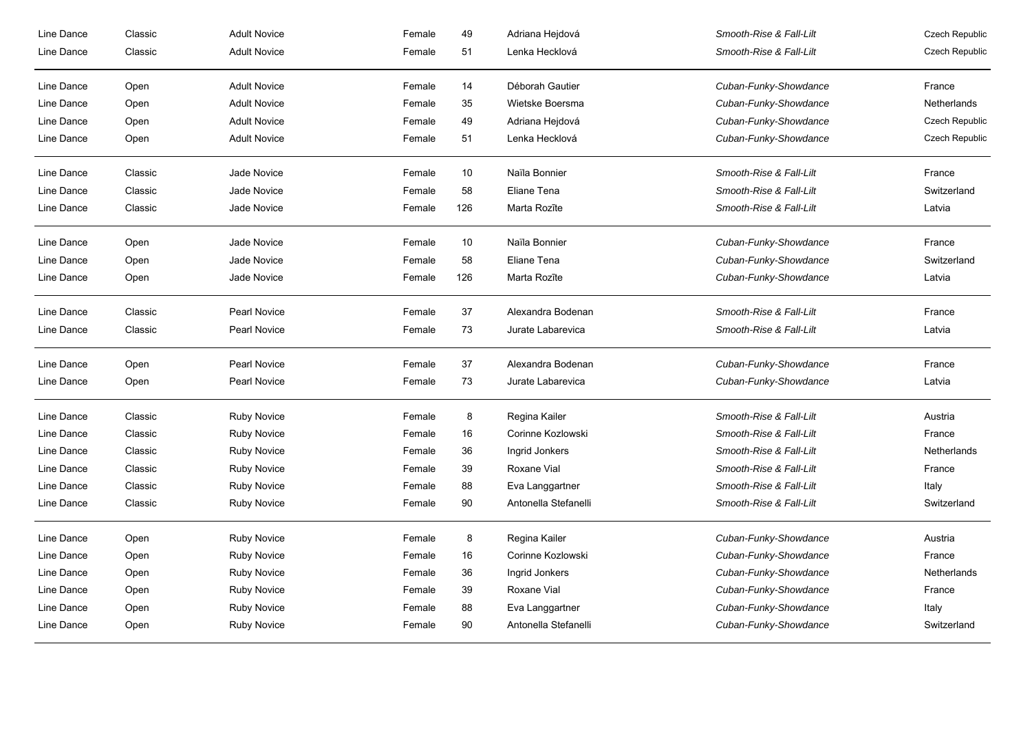| Line Dance | Classic | <b>Adult Novice</b> | Female | 49   | Adriana Hejdová      | Smooth-Rise & Fall-Lilt | Czech Republic |
|------------|---------|---------------------|--------|------|----------------------|-------------------------|----------------|
| Line Dance | Classic | <b>Adult Novice</b> | Female | 51   | Lenka Hecklová       | Smooth-Rise & Fall-Lilt | Czech Republic |
| Line Dance | Open    | <b>Adult Novice</b> | Female | 14   | Déborah Gautier      | Cuban-Funky-Showdance   | France         |
| Line Dance | Open    | <b>Adult Novice</b> | Female | 35   | Wietske Boersma      | Cuban-Funky-Showdance   | Netherlands    |
| Line Dance | Open    | <b>Adult Novice</b> | Female | 49   | Adriana Hejdová      | Cuban-Funky-Showdance   | Czech Republic |
| Line Dance | Open    | <b>Adult Novice</b> | Female | 51   | Lenka Hecklová       | Cuban-Funky-Showdance   | Czech Republic |
| Line Dance | Classic | Jade Novice         | Female | $10$ | Naïla Bonnier        | Smooth-Rise & Fall-Lilt | France         |
| Line Dance | Classic | Jade Novice         | Female | 58   | Eliane Tena          | Smooth-Rise & Fall-Lilt | Switzerland    |
| Line Dance | Classic | Jade Novice         | Female | 126  | Marta Rozīte         | Smooth-Rise & Fall-Lilt | Latvia         |
| Line Dance | Open    | Jade Novice         | Female | 10   | Naïla Bonnier        | Cuban-Funky-Showdance   | France         |
| Line Dance | Open    | Jade Novice         | Female | 58   | Eliane Tena          | Cuban-Funky-Showdance   | Switzerland    |
| Line Dance | Open    | Jade Novice         | Female | 126  | Marta Rozīte         | Cuban-Funky-Showdance   | Latvia         |
| Line Dance | Classic | <b>Pearl Novice</b> | Female | 37   | Alexandra Bodenan    | Smooth-Rise & Fall-Lilt | France         |
| Line Dance | Classic | Pearl Novice        | Female | 73   | Jurate Labarevica    | Smooth-Rise & Fall-Lilt | Latvia         |
| Line Dance | Open    | <b>Pearl Novice</b> | Female | 37   | Alexandra Bodenan    | Cuban-Funky-Showdance   | France         |
| Line Dance | Open    | Pearl Novice        | Female | 73   | Jurate Labarevica    | Cuban-Funky-Showdance   | Latvia         |
| Line Dance | Classic | <b>Ruby Novice</b>  | Female | 8    | Regina Kailer        | Smooth-Rise & Fall-Lilt | Austria        |
| Line Dance | Classic | <b>Ruby Novice</b>  | Female | 16   | Corinne Kozlowski    | Smooth-Rise & Fall-Lilt | France         |
| Line Dance | Classic | <b>Ruby Novice</b>  | Female | 36   | Ingrid Jonkers       | Smooth-Rise & Fall-Lilt | Netherlands    |
| Line Dance | Classic | <b>Ruby Novice</b>  | Female | 39   | Roxane Vial          | Smooth-Rise & Fall-Lilt | France         |
| Line Dance | Classic | <b>Ruby Novice</b>  | Female | 88   | Eva Langgartner      | Smooth-Rise & Fall-Lilt | Italy          |
| Line Dance | Classic | <b>Ruby Novice</b>  | Female | 90   | Antonella Stefanelli | Smooth-Rise & Fall-Lilt | Switzerland    |
| Line Dance | Open    | <b>Ruby Novice</b>  | Female | 8    | Regina Kailer        | Cuban-Funky-Showdance   | Austria        |
| Line Dance | Open    | <b>Ruby Novice</b>  | Female | 16   | Corinne Kozlowski    | Cuban-Funky-Showdance   | France         |
| Line Dance | Open    | <b>Ruby Novice</b>  | Female | 36   | Ingrid Jonkers       | Cuban-Funky-Showdance   | Netherlands    |
| Line Dance | Open    | <b>Ruby Novice</b>  | Female | 39   | Roxane Vial          | Cuban-Funky-Showdance   | France         |
| Line Dance | Open    | <b>Ruby Novice</b>  | Female | 88   | Eva Langgartner      | Cuban-Funky-Showdance   | Italy          |
| Line Dance | Open    | <b>Ruby Novice</b>  | Female | 90   | Antonella Stefanelli | Cuban-Funky-Showdance   | Switzerland    |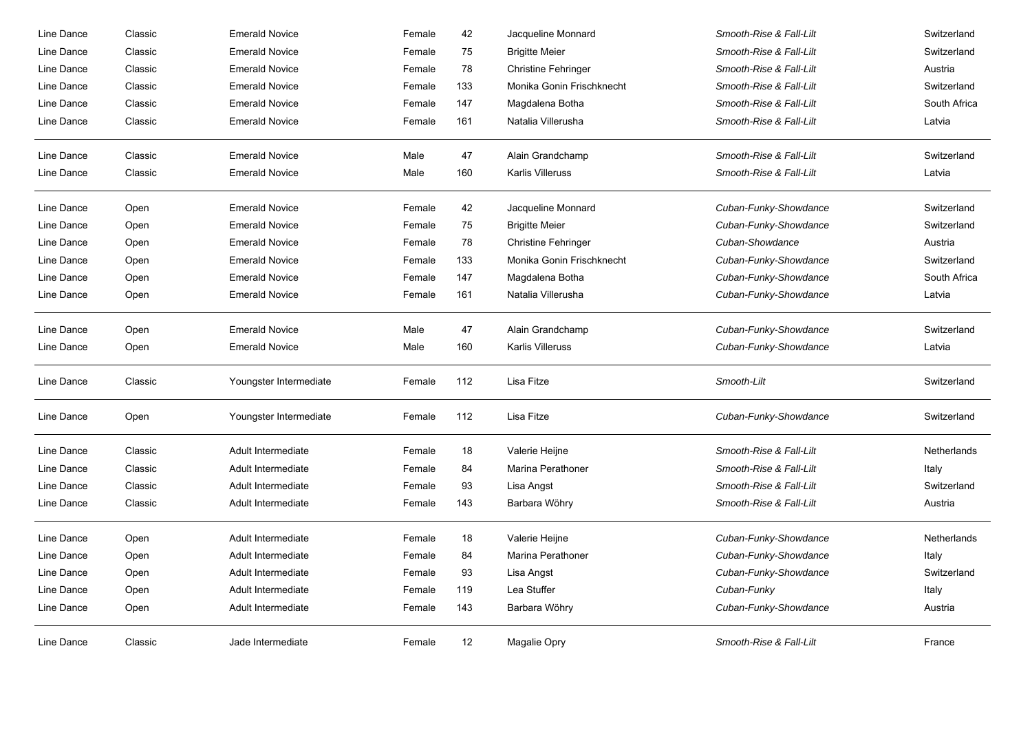| Line Dance | Classic | <b>Emerald Novice</b>  | Female | 42  | Jacqueline Monnard         | Smooth-Rise & Fall-Lilt | Switzerland  |
|------------|---------|------------------------|--------|-----|----------------------------|-------------------------|--------------|
| Line Dance | Classic | <b>Emerald Novice</b>  | Female | 75  | <b>Brigitte Meier</b>      | Smooth-Rise & Fall-Lilt | Switzerland  |
| Line Dance | Classic | <b>Emerald Novice</b>  | Female | 78  | <b>Christine Fehringer</b> | Smooth-Rise & Fall-Lilt | Austria      |
| Line Dance | Classic | <b>Emerald Novice</b>  | Female | 133 | Monika Gonin Frischknecht  | Smooth-Rise & Fall-Lilt | Switzerland  |
| Line Dance | Classic | <b>Emerald Novice</b>  | Female | 147 | Magdalena Botha            | Smooth-Rise & Fall-Lilt | South Africa |
| Line Dance | Classic | <b>Emerald Novice</b>  | Female | 161 | Natalia Villerusha         | Smooth-Rise & Fall-Lilt | Latvia       |
| Line Dance | Classic | <b>Emerald Novice</b>  | Male   | 47  | Alain Grandchamp           | Smooth-Rise & Fall-Lilt | Switzerland  |
| Line Dance | Classic | <b>Emerald Novice</b>  | Male   | 160 | <b>Karlis Villeruss</b>    | Smooth-Rise & Fall-Lilt | Latvia       |
| Line Dance | Open    | <b>Emerald Novice</b>  | Female | 42  | Jacqueline Monnard         | Cuban-Funky-Showdance   | Switzerland  |
| Line Dance | Open    | <b>Emerald Novice</b>  | Female | 75  | <b>Brigitte Meier</b>      | Cuban-Funky-Showdance   | Switzerland  |
| Line Dance | Open    | <b>Emerald Novice</b>  | Female | 78  | <b>Christine Fehringer</b> | Cuban-Showdance         | Austria      |
| Line Dance | Open    | <b>Emerald Novice</b>  | Female | 133 | Monika Gonin Frischknecht  | Cuban-Funky-Showdance   | Switzerland  |
| Line Dance | Open    | <b>Emerald Novice</b>  | Female | 147 | Magdalena Botha            | Cuban-Funky-Showdance   | South Africa |
| Line Dance | Open    | <b>Emerald Novice</b>  | Female | 161 | Natalia Villerusha         | Cuban-Funky-Showdance   | Latvia       |
| Line Dance | Open    | <b>Emerald Novice</b>  | Male   | 47  | Alain Grandchamp           | Cuban-Funky-Showdance   | Switzerland  |
| Line Dance | Open    | <b>Emerald Novice</b>  | Male   | 160 | <b>Karlis Villeruss</b>    | Cuban-Funky-Showdance   | Latvia       |
| Line Dance | Classic | Youngster Intermediate | Female | 112 | Lisa Fitze                 | Smooth-Lilt             | Switzerland  |
| Line Dance | Open    | Youngster Intermediate | Female | 112 | Lisa Fitze                 | Cuban-Funky-Showdance   | Switzerland  |
| Line Dance | Classic | Adult Intermediate     | Female | 18  | Valerie Heijne             | Smooth-Rise & Fall-Lilt | Netherlands  |
| Line Dance | Classic | Adult Intermediate     | Female | 84  | Marina Perathoner          | Smooth-Rise & Fall-Lilt | Italy        |
| Line Dance | Classic | Adult Intermediate     | Female | 93  | Lisa Angst                 | Smooth-Rise & Fall-Lilt | Switzerland  |
| Line Dance | Classic | Adult Intermediate     | Female | 143 | Barbara Wöhry              | Smooth-Rise & Fall-Lilt | Austria      |
| Line Dance | Open    | Adult Intermediate     | Female | 18  | Valerie Heijne             | Cuban-Funky-Showdance   | Netherlands  |
| Line Dance | Open    | Adult Intermediate     | Female | 84  | Marina Perathoner          | Cuban-Funky-Showdance   | Italy        |
| Line Dance | Open    | Adult Intermediate     | Female | 93  | Lisa Angst                 | Cuban-Funky-Showdance   | Switzerland  |
| Line Dance | Open    | Adult Intermediate     | Female | 119 | Lea Stuffer                | Cuban-Funky             | Italy        |
| Line Dance | Open    | Adult Intermediate     | Female | 143 | Barbara Wöhry              | Cuban-Funky-Showdance   | Austria      |
| Line Dance | Classic | Jade Intermediate      | Female | 12  | Magalie Opry               | Smooth-Rise & Fall-Lilt | France       |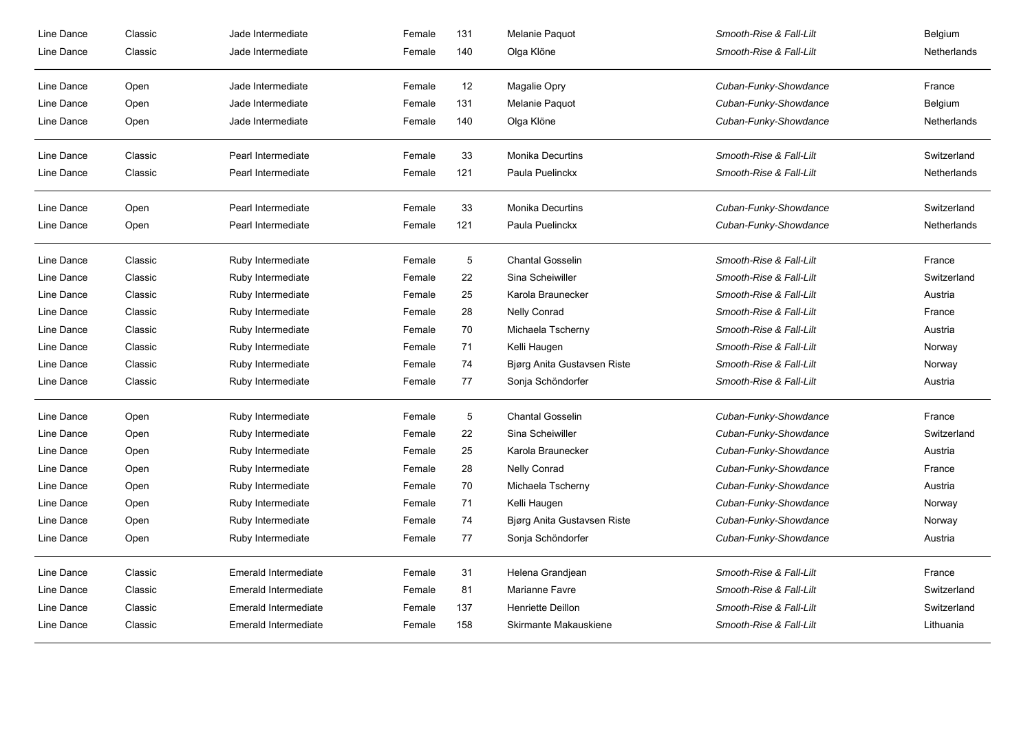| Line Dance | Classic | Jade Intermediate    | Female | 131        | Melanie Paquot              | Smooth-Rise & Fall-Lilt | Belgium     |
|------------|---------|----------------------|--------|------------|-----------------------------|-------------------------|-------------|
| Line Dance | Classic | Jade Intermediate    | Female | 140        | Olga Klöne                  | Smooth-Rise & Fall-Lilt | Netherlands |
| Line Dance | Open    | Jade Intermediate    | Female | 12         | Magalie Opry                | Cuban-Funky-Showdance   | France      |
| Line Dance | Open    | Jade Intermediate    | Female | 131        | Melanie Paquot              | Cuban-Funky-Showdance   | Belgium     |
| Line Dance | Open    | Jade Intermediate    | Female | 140        | Olga Klöne                  | Cuban-Funky-Showdance   | Netherlands |
| Line Dance | Classic | Pearl Intermediate   | Female | 33         | <b>Monika Decurtins</b>     | Smooth-Rise & Fall-Lilt | Switzerland |
| Line Dance | Classic | Pearl Intermediate   | Female | 121        | Paula Puelinckx             | Smooth-Rise & Fall-Lilt | Netherlands |
| Line Dance | Open    | Pearl Intermediate   | Female | 33         | <b>Monika Decurtins</b>     | Cuban-Funky-Showdance   | Switzerland |
| Line Dance | Open    | Pearl Intermediate   | Female | 121        | Paula Puelinckx             | Cuban-Funky-Showdance   | Netherlands |
| Line Dance | Classic | Ruby Intermediate    | Female | 5          | <b>Chantal Gosselin</b>     | Smooth-Rise & Fall-Lilt | France      |
| Line Dance | Classic | Ruby Intermediate    | Female | 22         | Sina Scheiwiller            | Smooth-Rise & Fall-Lilt | Switzerland |
| Line Dance | Classic | Ruby Intermediate    | Female | 25         | Karola Braunecker           | Smooth-Rise & Fall-Lilt | Austria     |
| Line Dance | Classic | Ruby Intermediate    | Female | 28         | <b>Nelly Conrad</b>         | Smooth-Rise & Fall-Lilt | France      |
| Line Dance | Classic | Ruby Intermediate    | Female | 70         | Michaela Tscherny           | Smooth-Rise & Fall-Lilt | Austria     |
| Line Dance | Classic | Ruby Intermediate    | Female | 71         | Kelli Haugen                | Smooth-Rise & Fall-Lilt | Norway      |
| Line Dance | Classic | Ruby Intermediate    | Female | 74         | Bjørg Anita Gustavsen Riste | Smooth-Rise & Fall-Lilt | Norway      |
| Line Dance | Classic | Ruby Intermediate    | Female | 77         | Sonja Schöndorfer           | Smooth-Rise & Fall-Lilt | Austria     |
| Line Dance | Open    | Ruby Intermediate    | Female | $\sqrt{5}$ | <b>Chantal Gosselin</b>     | Cuban-Funky-Showdance   | France      |
| Line Dance | Open    | Ruby Intermediate    | Female | 22         | Sina Scheiwiller            | Cuban-Funky-Showdance   | Switzerland |
| Line Dance | Open    | Ruby Intermediate    | Female | 25         | Karola Braunecker           | Cuban-Funky-Showdance   | Austria     |
| Line Dance | Open    | Ruby Intermediate    | Female | 28         | Nelly Conrad                | Cuban-Funky-Showdance   | France      |
| Line Dance | Open    | Ruby Intermediate    | Female | 70         | Michaela Tscherny           | Cuban-Funky-Showdance   | Austria     |
| Line Dance | Open    | Ruby Intermediate    | Female | 71         | Kelli Haugen                | Cuban-Funky-Showdance   | Norway      |
| Line Dance | Open    | Ruby Intermediate    | Female | 74         | Bjørg Anita Gustavsen Riste | Cuban-Funky-Showdance   | Norway      |
| Line Dance | Open    | Ruby Intermediate    | Female | 77         | Sonja Schöndorfer           | Cuban-Funky-Showdance   | Austria     |
| Line Dance | Classic | Emerald Intermediate | Female | 31         | Helena Grandjean            | Smooth-Rise & Fall-Lilt | France      |
| Line Dance | Classic | Emerald Intermediate | Female | 81         | Marianne Favre              | Smooth-Rise & Fall-Lilt | Switzerland |
| Line Dance | Classic | Emerald Intermediate | Female | 137        | <b>Henriette Deillon</b>    | Smooth-Rise & Fall-Lilt | Switzerland |
| Line Dance | Classic | Emerald Intermediate | Female | 158        | Skirmante Makauskiene       | Smooth-Rise & Fall-Lilt | Lithuania   |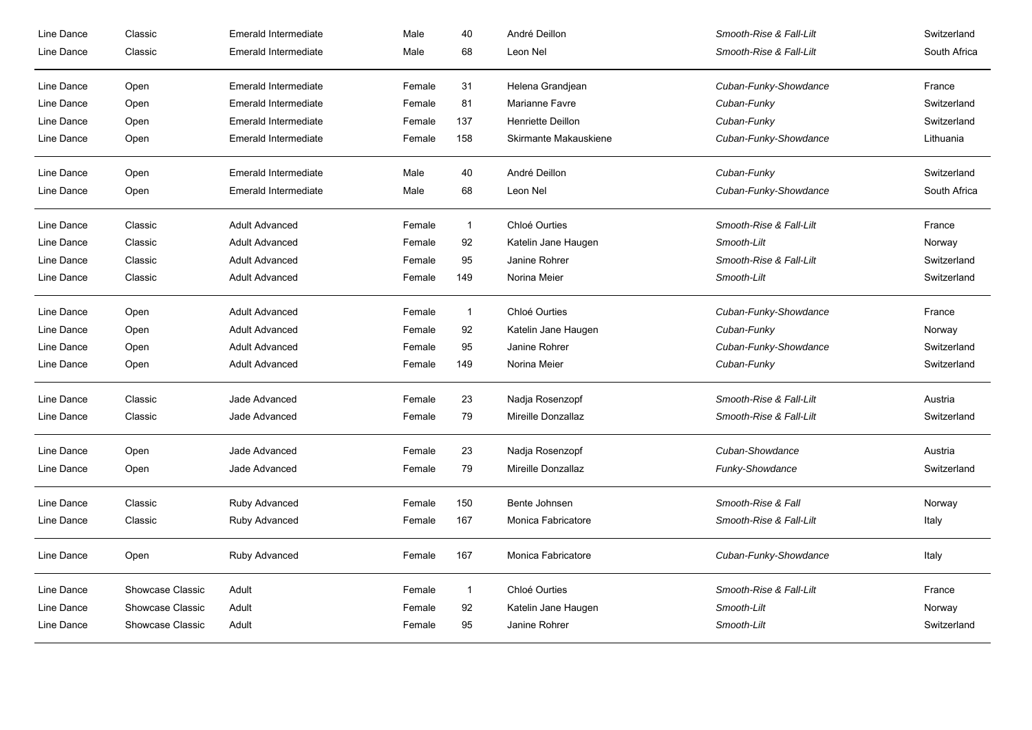| Line Dance | Classic          | Emerald Intermediate        | Male   | 40           | André Deillon            | Smooth-Rise & Fall-Lilt | Switzerland  |
|------------|------------------|-----------------------------|--------|--------------|--------------------------|-------------------------|--------------|
| Line Dance | Classic          | <b>Emerald Intermediate</b> | Male   | 68           | Leon Nel                 | Smooth-Rise & Fall-Lilt | South Africa |
| Line Dance | Open             | Emerald Intermediate        | Female | 31           | Helena Grandjean         | Cuban-Funky-Showdance   | France       |
| Line Dance | Open             | Emerald Intermediate        | Female | 81           | Marianne Favre           | Cuban-Funky             | Switzerland  |
| Line Dance | Open             | Emerald Intermediate        | Female | 137          | <b>Henriette Deillon</b> | Cuban-Funky             | Switzerland  |
| Line Dance | Open             | Emerald Intermediate        | Female | 158          | Skirmante Makauskiene    | Cuban-Funky-Showdance   | Lithuania    |
| Line Dance | Open             | <b>Emerald Intermediate</b> | Male   | 40           | André Deillon            | Cuban-Funky             | Switzerland  |
| Line Dance | Open             | <b>Emerald Intermediate</b> | Male   | 68           | Leon Nel                 | Cuban-Funky-Showdance   | South Africa |
| Line Dance | Classic          | <b>Adult Advanced</b>       | Female | $\mathbf{1}$ | Chloé Ourties            | Smooth-Rise & Fall-Lilt | France       |
| Line Dance | Classic          | <b>Adult Advanced</b>       | Female | 92           | Katelin Jane Haugen      | Smooth-Lilt             | Norway       |
| Line Dance | Classic          | <b>Adult Advanced</b>       | Female | 95           | Janine Rohrer            | Smooth-Rise & Fall-Lilt | Switzerland  |
| Line Dance | Classic          | <b>Adult Advanced</b>       | Female | 149          | Norina Meier             | Smooth-Lilt             | Switzerland  |
| Line Dance | Open             | <b>Adult Advanced</b>       | Female | $\mathbf{1}$ | Chloé Ourties            | Cuban-Funky-Showdance   | France       |
| Line Dance | Open             | <b>Adult Advanced</b>       | Female | 92           | Katelin Jane Haugen      | Cuban-Funky             | Norway       |
| Line Dance | Open             | <b>Adult Advanced</b>       | Female | 95           | Janine Rohrer            | Cuban-Funky-Showdance   | Switzerland  |
| Line Dance | Open             | <b>Adult Advanced</b>       | Female | 149          | Norina Meier             | Cuban-Funky             | Switzerland  |
| Line Dance | Classic          | Jade Advanced               | Female | 23           | Nadja Rosenzopf          | Smooth-Rise & Fall-Lilt | Austria      |
| Line Dance | Classic          | Jade Advanced               | Female | 79           | Mireille Donzallaz       | Smooth-Rise & Fall-Lilt | Switzerland  |
| Line Dance | Open             | Jade Advanced               | Female | 23           | Nadja Rosenzopf          | Cuban-Showdance         | Austria      |
| Line Dance | Open             | Jade Advanced               | Female | 79           | Mireille Donzallaz       | Funky-Showdance         | Switzerland  |
| Line Dance | Classic          | Ruby Advanced               | Female | 150          | Bente Johnsen            | Smooth-Rise & Fall      | Norway       |
| Line Dance | Classic          | Ruby Advanced               | Female | 167          | Monica Fabricatore       | Smooth-Rise & Fall-Lilt | Italy        |
| Line Dance | Open             | Ruby Advanced               | Female | 167          | Monica Fabricatore       | Cuban-Funky-Showdance   | Italy        |
| Line Dance | Showcase Classic | Adult                       | Female | $\mathbf{1}$ | Chloé Ourties            | Smooth-Rise & Fall-Lilt | France       |
| Line Dance | Showcase Classic | Adult                       | Female | 92           | Katelin Jane Haugen      | Smooth-Lilt             | Norway       |
| Line Dance | Showcase Classic | Adult                       | Female | 95           | Janine Rohrer            | Smooth-Lilt             | Switzerland  |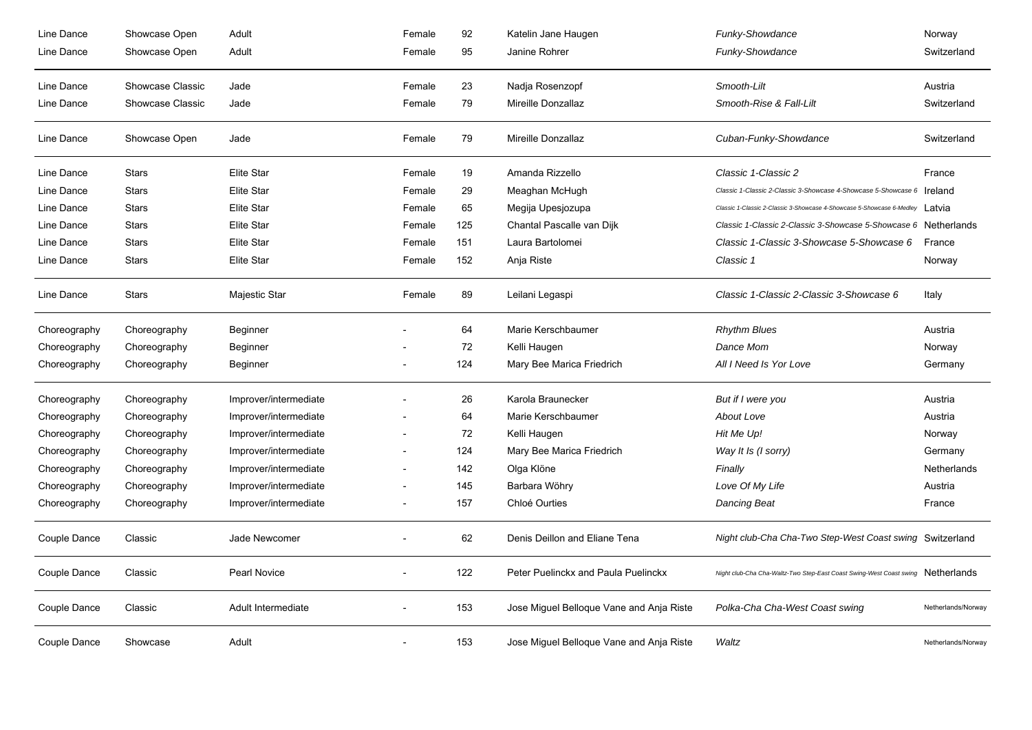| Line Dance   | Showcase Open    | Adult                 | Female | 92  | Katelin Jane Haugen                      | Funky-Showdance                                                                 | Norway             |
|--------------|------------------|-----------------------|--------|-----|------------------------------------------|---------------------------------------------------------------------------------|--------------------|
| Line Dance   | Showcase Open    | Adult                 | Female | 95  | Janine Rohrer                            | Funky-Showdance                                                                 | Switzerland        |
| Line Dance   | Showcase Classic | Jade                  | Female | 23  | Nadja Rosenzopf                          | Smooth-Lilt                                                                     | Austria            |
| Line Dance   | Showcase Classic | Jade                  | Female | 79  | Mireille Donzallaz                       | Smooth-Rise & Fall-Lilt                                                         | Switzerland        |
| Line Dance   | Showcase Open    | Jade                  | Female | 79  | Mireille Donzallaz                       | Cuban-Funky-Showdance                                                           | Switzerland        |
| Line Dance   | <b>Stars</b>     | Elite Star            | Female | 19  | Amanda Rizzello                          | Classic 1-Classic 2                                                             | France             |
| Line Dance   | <b>Stars</b>     | <b>Elite Star</b>     | Female | 29  | Meaghan McHugh                           | Classic 1-Classic 2-Classic 3-Showcase 4-Showcase 5-Showcase 6 Ireland          |                    |
| Line Dance   | <b>Stars</b>     | <b>Elite Star</b>     | Female | 65  | Megija Upesjozupa                        | Classic 1-Classic 2-Classic 3-Showcase 4-Showcase 5-Showcase 6-Medley Latvia    |                    |
| Line Dance   | <b>Stars</b>     | <b>Elite Star</b>     | Female | 125 | Chantal Pascalle van Dijk                | Classic 1-Classic 2-Classic 3-Showcase 5-Showcase 6 Netherlands                 |                    |
| Line Dance   | <b>Stars</b>     | <b>Elite Star</b>     | Female | 151 | Laura Bartolomei                         | Classic 1-Classic 3-Showcase 5-Showcase 6                                       | France             |
| Line Dance   | <b>Stars</b>     | <b>Elite Star</b>     | Female | 152 | Anja Riste                               | Classic 1                                                                       | Norway             |
| Line Dance   | <b>Stars</b>     | Majestic Star         | Female | 89  | Leilani Legaspi                          | Classic 1-Classic 2-Classic 3-Showcase 6                                        | Italy              |
| Choreography | Choreography     | Beginner              |        | 64  | Marie Kerschbaumer                       | <b>Rhythm Blues</b>                                                             | Austria            |
| Choreography | Choreography     | Beginner              |        | 72  | Kelli Haugen                             | Dance Mom                                                                       | Norway             |
| Choreography | Choreography     | Beginner              |        | 124 | Mary Bee Marica Friedrich                | All I Need Is Yor Love                                                          | Germany            |
| Choreography | Choreography     | Improver/intermediate |        | 26  | Karola Braunecker                        | But if I were you                                                               | Austria            |
| Choreography | Choreography     | Improver/intermediate |        | 64  | Marie Kerschbaumer                       | About Love                                                                      | Austria            |
| Choreography | Choreography     | Improver/intermediate |        | 72  | Kelli Haugen                             | Hit Me Up!                                                                      | Norway             |
| Choreography | Choreography     | Improver/intermediate |        | 124 | Mary Bee Marica Friedrich                | Way It Is (I sorry)                                                             | Germany            |
| Choreography | Choreography     | Improver/intermediate |        | 142 | Olga Klöne                               | Finally                                                                         | Netherlands        |
| Choreography | Choreography     | Improver/intermediate |        | 145 | Barbara Wöhry                            | Love Of My Life                                                                 | Austria            |
| Choreography | Choreography     | Improver/intermediate |        | 157 | Chloé Ourties                            | <b>Dancing Beat</b>                                                             | France             |
| Couple Dance | Classic          | Jade Newcomer         |        | 62  | Denis Deillon and Eliane Tena            | Night club-Cha Cha-Two Step-West Coast swing Switzerland                        |                    |
| Couple Dance | Classic          | Pearl Novice          |        | 122 | Peter Puelinckx and Paula Puelinckx      | Night club-Cha Cha-Waltz-Two Step-East Coast Swing-West Coast swing Netherlands |                    |
| Couple Dance | Classic          | Adult Intermediate    |        | 153 | Jose Miguel Belloque Vane and Anja Riste | Polka-Cha Cha-West Coast swing                                                  | Netherlands/Norway |
| Couple Dance | Showcase         | Adult                 |        | 153 | Jose Miguel Belloque Vane and Anja Riste | Waltz                                                                           | Netherlands/Norway |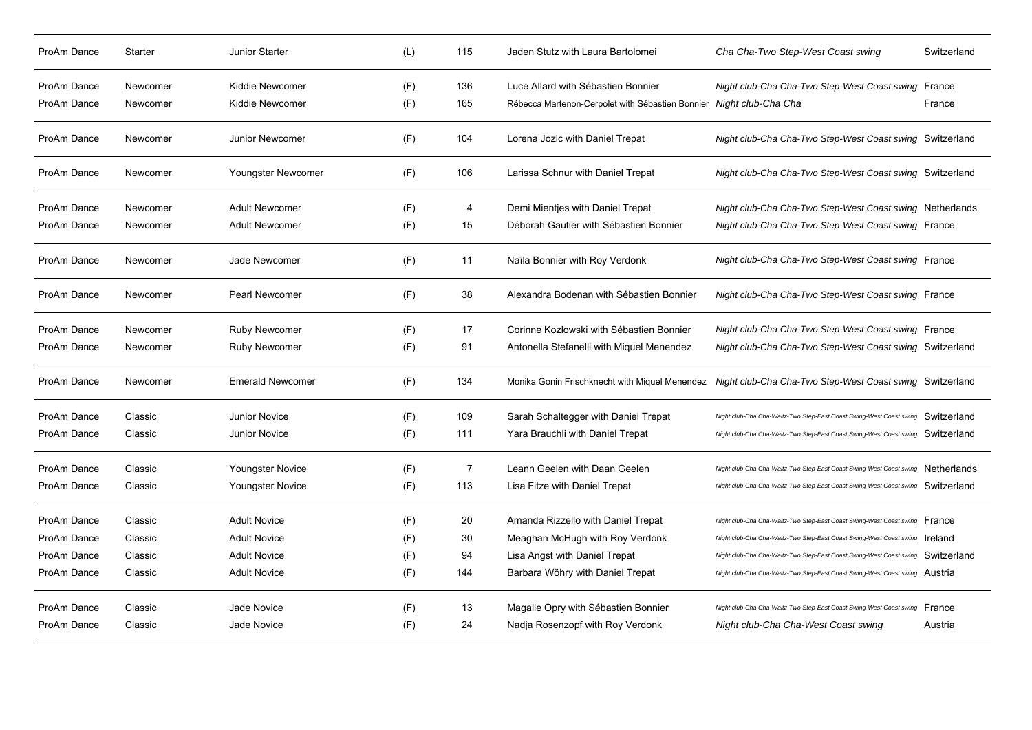| ProAm Dance | <b>Starter</b> | Junior Starter          | (L) | 115            | Jaden Stutz with Laura Bartolomei                                   | Cha Cha-Two Step-West Coast swing                                                                       | Switzerland |
|-------------|----------------|-------------------------|-----|----------------|---------------------------------------------------------------------|---------------------------------------------------------------------------------------------------------|-------------|
| ProAm Dance | Newcomer       | Kiddie Newcomer         | (F) | 136            | Luce Allard with Sébastien Bonnier                                  | Night club-Cha Cha-Two Step-West Coast swing France                                                     |             |
| ProAm Dance | Newcomer       | Kiddie Newcomer         | (F) | 165            | Rébecca Martenon-Cerpolet with Sébastien Bonnier Night club-Cha Cha |                                                                                                         | France      |
| ProAm Dance | Newcomer       | Junior Newcomer         | (F) | 104            | Lorena Jozic with Daniel Trepat                                     | Night club-Cha Cha-Two Step-West Coast swing Switzerland                                                |             |
| ProAm Dance | Newcomer       | Youngster Newcomer      | (F) | 106            | Larissa Schnur with Daniel Trepat                                   | Night club-Cha Cha-Two Step-West Coast swing Switzerland                                                |             |
| ProAm Dance | Newcomer       | <b>Adult Newcomer</b>   | (F) | 4              | Demi Mientjes with Daniel Trepat                                    | Night club-Cha Cha-Two Step-West Coast swing Netherlands                                                |             |
| ProAm Dance | Newcomer       | <b>Adult Newcomer</b>   | (F) | 15             | Déborah Gautier with Sébastien Bonnier                              | Night club-Cha Cha-Two Step-West Coast swing France                                                     |             |
| ProAm Dance | Newcomer       | Jade Newcomer           | (F) | 11             | Naïla Bonnier with Roy Verdonk                                      | Night club-Cha Cha-Two Step-West Coast swing France                                                     |             |
| ProAm Dance | Newcomer       | <b>Pearl Newcomer</b>   | (F) | 38             | Alexandra Bodenan with Sébastien Bonnier                            | Night club-Cha Cha-Two Step-West Coast swing France                                                     |             |
| ProAm Dance | Newcomer       | <b>Ruby Newcomer</b>    | (F) | 17             | Corinne Kozlowski with Sébastien Bonnier                            | Night club-Cha Cha-Two Step-West Coast swing France                                                     |             |
| ProAm Dance | Newcomer       | <b>Ruby Newcomer</b>    | (F) | 91             | Antonella Stefanelli with Miquel Menendez                           | Night club-Cha Cha-Two Step-West Coast swing Switzerland                                                |             |
| ProAm Dance | Newcomer       | <b>Emerald Newcomer</b> | (F) | 134            |                                                                     | Monika Gonin Frischknecht with Miquel Menendez Night club-Cha Cha-Two Step-West Coast swing Switzerland |             |
| ProAm Dance | Classic        | <b>Junior Novice</b>    | (F) | 109            | Sarah Schaltegger with Daniel Trepat                                | Night club-Cha Cha-Waltz-Two Step-East Coast Swing-West Coast swing                                     | Switzerland |
| ProAm Dance | Classic        | <b>Junior Novice</b>    | (F) | 111            | Yara Brauchli with Daniel Trepat                                    | Night club-Cha Cha-Waltz-Two Step-East Coast Swing-West Coast swing Switzerland                         |             |
| ProAm Dance | Classic        | Youngster Novice        | (F) | $\overline{7}$ | Leann Geelen with Daan Geelen                                       | Night club-Cha Cha-Waltz-Two Step-East Coast Swing-West Coast swing Netherlands                         |             |
| ProAm Dance | Classic        | Youngster Novice        | (F) | 113            | Lisa Fitze with Daniel Trepat                                       | Night club-Cha Cha-Waltz-Two Step-East Coast Swing-West Coast swing                                     | Switzerland |
| ProAm Dance | Classic        | <b>Adult Novice</b>     | (F) | 20             | Amanda Rizzello with Daniel Trepat                                  | Night club-Cha Cha-Waltz-Two Step-East Coast Swing-West Coast swing                                     | France      |
| ProAm Dance | Classic        | <b>Adult Novice</b>     | (F) | 30             | Meaghan McHugh with Roy Verdonk                                     | Night club-Cha Cha-Waltz-Two Step-East Coast Swing-West Coast swing  reland                             |             |
| ProAm Dance | Classic        | <b>Adult Novice</b>     | (F) | 94             | Lisa Angst with Daniel Trepat                                       | Night club-Cha Cha-Waltz-Two Step-East Coast Swing-West Coast swing                                     | Switzerland |
| ProAm Dance | Classic        | <b>Adult Novice</b>     | (F) | 144            | Barbara Wöhry with Daniel Trepat                                    | Night club-Cha Cha-Waltz-Two Step-East Coast Swing-West Coast swing Austria                             |             |
| ProAm Dance | Classic        | Jade Novice             | (F) | 13             | Magalie Opry with Sébastien Bonnier                                 | Night club-Cha Cha-Waltz-Two Step-East Coast Swing-West Coast swing                                     | France      |
| ProAm Dance | Classic        | Jade Novice             | (F) | 24             | Nadja Rosenzopf with Roy Verdonk                                    | Night club-Cha Cha-West Coast swing                                                                     | Austria     |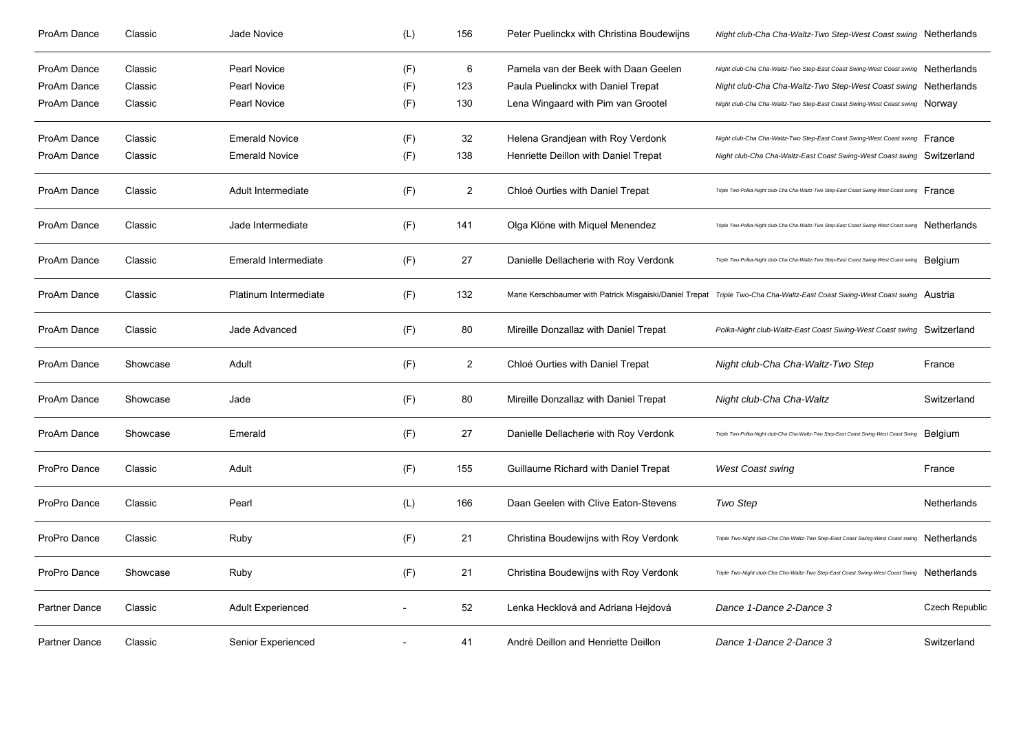| ProAm Dance   | Classic  | Jade Novice              | (L) | 156            | Peter Puelinckx with Christina Boudewijns | Night club-Cha Cha-Waltz-Two Step-West Coast swing Netherlands                                                             |                       |
|---------------|----------|--------------------------|-----|----------------|-------------------------------------------|----------------------------------------------------------------------------------------------------------------------------|-----------------------|
| ProAm Dance   | Classic  | Pearl Novice             | (F) | 6              | Pamela van der Beek with Daan Geelen      | Night club-Cha Cha-Waltz-Two Step-East Coast Swing-West Coast swing Netherlands                                            |                       |
| ProAm Dance   | Classic  | <b>Pearl Novice</b>      | (F) | 123            | Paula Puelinckx with Daniel Trepat        | Night club-Cha Cha-Waltz-Two Step-West Coast swing Netherlands                                                             |                       |
| ProAm Dance   | Classic  | Pearl Novice             | (F) | 130            | Lena Wingaard with Pim van Grootel        | Night club-Cha Cha-Waltz-Two Step-East Coast Swing-West Coast swing NOTWAV                                                 |                       |
| ProAm Dance   | Classic  | <b>Emerald Novice</b>    | (F) | 32             | Helena Grandjean with Roy Verdonk         | Night club-Cha Cha-Waltz-Two Step-East Coast Swing-West Coast swing France                                                 |                       |
| ProAm Dance   | Classic  | <b>Emerald Novice</b>    | (F) | 138            | Henriette Deillon with Daniel Trepat      | Night club-Cha Cha-Waltz-East Coast Swing-West Coast swing Switzerland                                                     |                       |
| ProAm Dance   | Classic  | Adult Intermediate       | (F) | 2              | Chloé Ourties with Daniel Trepat          | Triple Two-Polka-Night club-Cha Cha-Waltz-Two Step-East Coast Swing-West Coast swing France                                |                       |
| ProAm Dance   | Classic  | Jade Intermediate        | (F) | 141            | Olga Klöne with Miquel Menendez           | Triple Two-Polka-Night club-Cha Cha-Waltz-Two Step-East Coast Swing-West Coast swing Netherlands                           |                       |
| ProAm Dance   | Classic  | Emerald Intermediate     | (F) | 27             | Danielle Dellacherie with Roy Verdonk     | Triple Two-Polka-Night club-Cha Cha-Waltz-Two Step-East Coast Swing-West Coast swing Belgium                               |                       |
| ProAm Dance   | Classic  | Platinum Intermediate    | (F) | 132            |                                           | Marie Kerschbaumer with Patrick Misgaiski/Daniel Trepat Triple Two-Cha Cha-Waltz-East Coast Swing-West Coast swing Austria |                       |
| ProAm Dance   | Classic  | Jade Advanced            | (F) | 80             | Mireille Donzallaz with Daniel Trepat     | Polka-Night club-Waltz-East Coast Swing-West Coast swing Switzerland                                                       |                       |
| ProAm Dance   | Showcase | Adult                    | (F) | $\overline{2}$ | Chloé Ourties with Daniel Trepat          | Night club-Cha Cha-Waltz-Two Step                                                                                          | France                |
| ProAm Dance   | Showcase | Jade                     | (F) | 80             | Mireille Donzallaz with Daniel Trepat     | Night club-Cha Cha-Waltz                                                                                                   | Switzerland           |
| ProAm Dance   | Showcase | Emerald                  | (F) | 27             | Danielle Dellacherie with Roy Verdonk     | Triple Two-Polka-Night club-Cha Cha-Waltz-Two Step-East Coast Swing-West Coast Swing                                       | Belgium               |
| ProPro Dance  | Classic  | Adult                    | (F) | 155            | Guillaume Richard with Daniel Trepat      | West Coast swing                                                                                                           | France                |
| ProPro Dance  | Classic  | Pearl                    | (L) | 166            | Daan Geelen with Clive Eaton-Stevens      | Two Step                                                                                                                   | Netherlands           |
| ProPro Dance  | Classic  | Ruby                     | (F) | 21             | Christina Boudewijns with Roy Verdonk     | Triple Two-Night club-Cha Cha-Waltz-Two Step-East Coast Swing-West Coast swing Netherlands                                 |                       |
| ProPro Dance  | Showcase | Ruby                     | (F) | 21             | Christina Boudewijns with Roy Verdonk     | Triple Two-Night club-Cha Cha-Waltz-Two Step-East Coast Swing-West Coast Swing Netherlands                                 |                       |
| Partner Dance | Classic  | <b>Adult Experienced</b> |     | 52             | Lenka Hecklová and Adriana Hejdová        | Dance 1-Dance 2-Dance 3                                                                                                    | <b>Czech Republic</b> |
| Partner Dance | Classic  | Senior Experienced       |     | 41             | André Deillon and Henriette Deillon       | Dance 1-Dance 2-Dance 3                                                                                                    | Switzerland           |